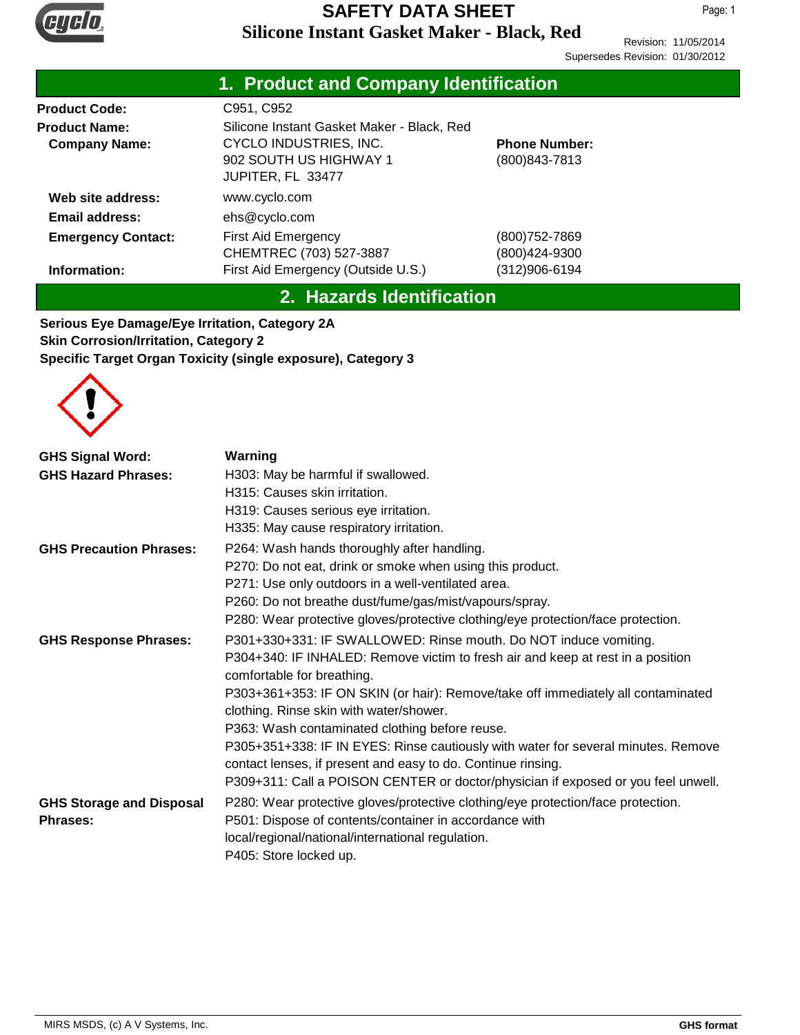

Page: 1

Revision: 11/05/2014 Supersedes Revision: 01/30/2012

|                                                                         | 1. Product and Company Identification                                                                               |                                       |  |  |
|-------------------------------------------------------------------------|---------------------------------------------------------------------------------------------------------------------|---------------------------------------|--|--|
| <b>Product Code:</b><br><b>Product Name:</b><br><b>Company Name:</b>    | C951, C952<br>Silicone Instant Gasket Maker - Black, Red<br><b>CYCLO INDUSTRIES, INC.</b><br>902 SOUTH US HIGHWAY 1 | <b>Phone Number:</b><br>(800)843-7813 |  |  |
| Web site address:<br><b>Email address:</b><br><b>Emergency Contact:</b> | JUPITER, FL 33477<br>www.cyclo.com<br>ehs@cyclo.com<br>First Aid Emergency<br>CHEMTREC (703) 527-3887               | (800)752-7869<br>(800)424-9300        |  |  |
| Information:                                                            | First Aid Emergency (Outside U.S.)                                                                                  | (312)906-6194                         |  |  |

## **2. Hazards Identification**

**Serious Eye Damage/Eye Irritation, Category 2A Skin Corrosion/Irritation, Category 2 Specific Target Organ Toxicity (single exposure), Category 3**



| <b>GHS Signal Word:</b>                            | Warning                                                                                                                                                                                         |
|----------------------------------------------------|-------------------------------------------------------------------------------------------------------------------------------------------------------------------------------------------------|
| <b>GHS Hazard Phrases:</b>                         | H303: May be harmful if swallowed.                                                                                                                                                              |
|                                                    | H315: Causes skin irritation.                                                                                                                                                                   |
|                                                    | H319: Causes serious eye irritation.                                                                                                                                                            |
|                                                    | H335: May cause respiratory irritation.                                                                                                                                                         |
| <b>GHS Precaution Phrases:</b>                     | P264: Wash hands thoroughly after handling.                                                                                                                                                     |
|                                                    | P270: Do not eat, drink or smoke when using this product.                                                                                                                                       |
|                                                    | P271: Use only outdoors in a well-ventilated area.                                                                                                                                              |
|                                                    | P260: Do not breathe dust/fume/gas/mist/vapours/spray.                                                                                                                                          |
|                                                    | P280: Wear protective gloves/protective clothing/eye protection/face protection.                                                                                                                |
| <b>GHS Response Phrases:</b>                       | P301+330+331: IF SWALLOWED: Rinse mouth. Do NOT induce vomiting.                                                                                                                                |
|                                                    | P304+340: IF INHALED: Remove victim to fresh air and keep at rest in a position<br>comfortable for breathing.                                                                                   |
|                                                    | P303+361+353: IF ON SKIN (or hair): Remove/take off immediately all contaminated<br>clothing. Rinse skin with water/shower.                                                                     |
|                                                    | P363: Wash contaminated clothing before reuse.                                                                                                                                                  |
|                                                    | P305+351+338: IF IN EYES: Rinse cautiously with water for several minutes. Remove<br>contact lenses, if present and easy to do. Continue rinsing.                                               |
|                                                    | P309+311: Call a POISON CENTER or doctor/physician if exposed or you feel unwell.                                                                                                               |
| <b>GHS Storage and Disposal</b><br><b>Phrases:</b> | P280: Wear protective gloves/protective clothing/eye protection/face protection.<br>P501: Dispose of contents/container in accordance with<br>local/regional/national/international regulation. |
|                                                    | P405: Store locked up.                                                                                                                                                                          |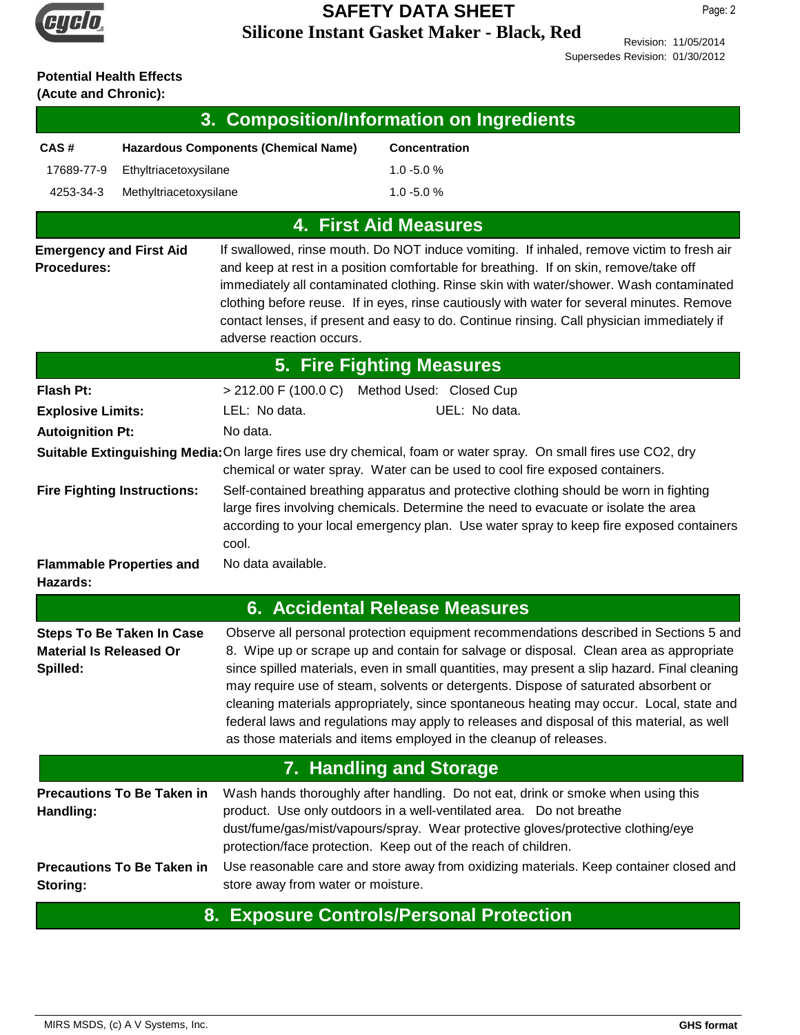

Revision: 11/05/2014 Supersedes Revision: 01/30/2012

# **Potential Health Effects**

**(Acute and Chronic):**

| 3. Composition/Information on Ingredients                                                                                                                                                      |                                              |                                                                                                                                                                                                                                                                                                                                                                                                                                                                                                                                                                                                                                     |  |  |
|------------------------------------------------------------------------------------------------------------------------------------------------------------------------------------------------|----------------------------------------------|-------------------------------------------------------------------------------------------------------------------------------------------------------------------------------------------------------------------------------------------------------------------------------------------------------------------------------------------------------------------------------------------------------------------------------------------------------------------------------------------------------------------------------------------------------------------------------------------------------------------------------------|--|--|
| CAS#                                                                                                                                                                                           | <b>Hazardous Components (Chemical Name)</b>  | <b>Concentration</b>                                                                                                                                                                                                                                                                                                                                                                                                                                                                                                                                                                                                                |  |  |
| 17689-77-9<br>Ethyltriacetoxysilane                                                                                                                                                            |                                              | $1.0 - 5.0 %$                                                                                                                                                                                                                                                                                                                                                                                                                                                                                                                                                                                                                       |  |  |
| 4253-34-3<br>Methyltriacetoxysilane                                                                                                                                                            |                                              | $1.0 - 5.0 %$                                                                                                                                                                                                                                                                                                                                                                                                                                                                                                                                                                                                                       |  |  |
|                                                                                                                                                                                                |                                              | <b>4. First Aid Measures</b>                                                                                                                                                                                                                                                                                                                                                                                                                                                                                                                                                                                                        |  |  |
| <b>Emergency and First Aid</b><br>Procedures:                                                                                                                                                  | adverse reaction occurs.                     | If swallowed, rinse mouth. Do NOT induce vomiting. If inhaled, remove victim to fresh air<br>and keep at rest in a position comfortable for breathing. If on skin, remove/take off<br>immediately all contaminated clothing. Rinse skin with water/shower. Wash contaminated<br>clothing before reuse. If in eyes, rinse cautiously with water for several minutes. Remove<br>contact lenses, if present and easy to do. Continue rinsing. Call physician immediately if                                                                                                                                                            |  |  |
|                                                                                                                                                                                                |                                              | 5. Fire Fighting Measures                                                                                                                                                                                                                                                                                                                                                                                                                                                                                                                                                                                                           |  |  |
| <b>Flash Pt:</b>                                                                                                                                                                               | > 212.00 F (100.0 C) Method Used: Closed Cup |                                                                                                                                                                                                                                                                                                                                                                                                                                                                                                                                                                                                                                     |  |  |
| <b>Explosive Limits:</b>                                                                                                                                                                       | LEL: No data.                                | UEL: No data.                                                                                                                                                                                                                                                                                                                                                                                                                                                                                                                                                                                                                       |  |  |
| <b>Autoignition Pt:</b>                                                                                                                                                                        | No data.                                     |                                                                                                                                                                                                                                                                                                                                                                                                                                                                                                                                                                                                                                     |  |  |
| Suitable Extinguishing Media: On large fires use dry chemical, foam or water spray. On small fires use CO2, dry<br>chemical or water spray. Water can be used to cool fire exposed containers. |                                              |                                                                                                                                                                                                                                                                                                                                                                                                                                                                                                                                                                                                                                     |  |  |
| <b>Fire Fighting Instructions:</b>                                                                                                                                                             | cool.                                        | Self-contained breathing apparatus and protective clothing should be worn in fighting<br>large fires involving chemicals. Determine the need to evacuate or isolate the area<br>according to your local emergency plan. Use water spray to keep fire exposed containers                                                                                                                                                                                                                                                                                                                                                             |  |  |
| <b>Flammable Properties and</b><br>Hazards:                                                                                                                                                    | No data available.                           |                                                                                                                                                                                                                                                                                                                                                                                                                                                                                                                                                                                                                                     |  |  |
|                                                                                                                                                                                                |                                              | <b>6. Accidental Release Measures</b>                                                                                                                                                                                                                                                                                                                                                                                                                                                                                                                                                                                               |  |  |
| <b>Steps To Be Taken In Case</b><br><b>Material Is Released Or</b><br>Spilled:                                                                                                                 |                                              | Observe all personal protection equipment recommendations described in Sections 5 and<br>8. Wipe up or scrape up and contain for salvage or disposal. Clean area as appropriate<br>since spilled materials, even in small quantities, may present a slip hazard. Final cleaning<br>may require use of steam, solvents or detergents. Dispose of saturated absorbent or<br>cleaning materials appropriately, since spontaneous heating may occur. Local, state and<br>federal laws and regulations may apply to releases and disposal of this material, as well<br>as those materials and items employed in the cleanup of releases. |  |  |
| 7. Handling and Storage                                                                                                                                                                        |                                              |                                                                                                                                                                                                                                                                                                                                                                                                                                                                                                                                                                                                                                     |  |  |
| <b>Precautions To Be Taken in</b><br>Handling:<br><b>Precautions To Be Taken in</b>                                                                                                            |                                              | Wash hands thoroughly after handling. Do not eat, drink or smoke when using this<br>product. Use only outdoors in a well-ventilated area. Do not breathe<br>dust/fume/gas/mist/vapours/spray. Wear protective gloves/protective clothing/eye<br>protection/face protection. Keep out of the reach of children.<br>Use reasonable care and store away from oxidizing materials. Keep container closed and                                                                                                                                                                                                                            |  |  |
| Storing:                                                                                                                                                                                       | store away from water or moisture.           | 8. Exposure Controls/Personal Protection                                                                                                                                                                                                                                                                                                                                                                                                                                                                                                                                                                                            |  |  |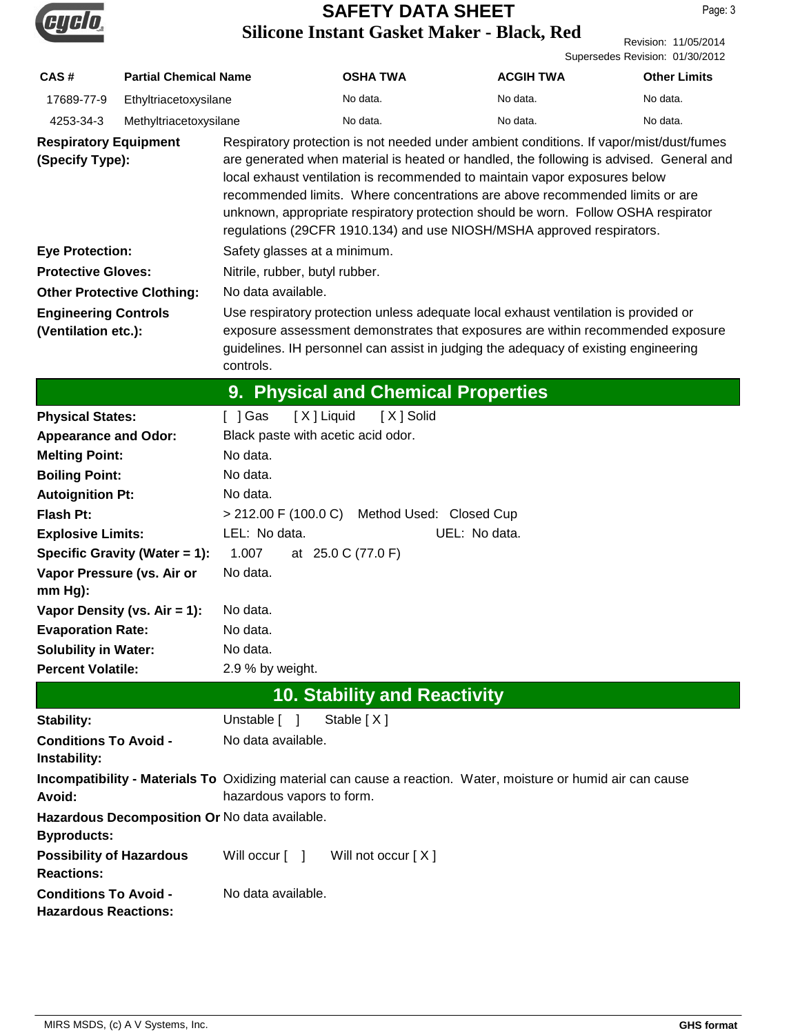

Page: 3

Revision: 11/05/2014 Supersedes Revision: 01/30/2012

| CAS#                                                                       | <b>Partial Chemical Name</b>      |                                                                                                                                                                                                                                                                                                                                                                                                                                                                                                                 | <b>OSHA TWA</b>                     | <b>ACGIH TWA</b>                                                                                               | <b>Other Limits</b> |
|----------------------------------------------------------------------------|-----------------------------------|-----------------------------------------------------------------------------------------------------------------------------------------------------------------------------------------------------------------------------------------------------------------------------------------------------------------------------------------------------------------------------------------------------------------------------------------------------------------------------------------------------------------|-------------------------------------|----------------------------------------------------------------------------------------------------------------|---------------------|
| 17689-77-9                                                                 | Ethyltriacetoxysilane             |                                                                                                                                                                                                                                                                                                                                                                                                                                                                                                                 | No data.                            | No data.                                                                                                       | No data.            |
| 4253-34-3                                                                  | Methyltriacetoxysilane            |                                                                                                                                                                                                                                                                                                                                                                                                                                                                                                                 | No data.                            | No data.                                                                                                       | No data.            |
| <b>Respiratory Equipment</b><br>(Specify Type):                            |                                   | Respiratory protection is not needed under ambient conditions. If vapor/mist/dust/fumes<br>are generated when material is heated or handled, the following is advised. General and<br>local exhaust ventilation is recommended to maintain vapor exposures below<br>recommended limits. Where concentrations are above recommended limits or are<br>unknown, appropriate respiratory protection should be worn. Follow OSHA respirator<br>regulations (29CFR 1910.134) and use NIOSH/MSHA approved respirators. |                                     |                                                                                                                |                     |
| <b>Eye Protection:</b>                                                     |                                   | Safety glasses at a minimum.                                                                                                                                                                                                                                                                                                                                                                                                                                                                                    |                                     |                                                                                                                |                     |
| <b>Protective Gloves:</b>                                                  |                                   | Nitrile, rubber, butyl rubber.                                                                                                                                                                                                                                                                                                                                                                                                                                                                                  |                                     |                                                                                                                |                     |
|                                                                            | <b>Other Protective Clothing:</b> | No data available.                                                                                                                                                                                                                                                                                                                                                                                                                                                                                              |                                     |                                                                                                                |                     |
| <b>Engineering Controls</b><br>(Ventilation etc.):                         |                                   | Use respiratory protection unless adequate local exhaust ventilation is provided or<br>exposure assessment demonstrates that exposures are within recommended exposure<br>guidelines. IH personnel can assist in judging the adequacy of existing engineering<br>controls.                                                                                                                                                                                                                                      |                                     |                                                                                                                |                     |
|                                                                            |                                   |                                                                                                                                                                                                                                                                                                                                                                                                                                                                                                                 | 9. Physical and Chemical Properties |                                                                                                                |                     |
| <b>Physical States:</b>                                                    |                                   | [X] Liquid<br>[ ] Gas                                                                                                                                                                                                                                                                                                                                                                                                                                                                                           | [X ] Solid                          |                                                                                                                |                     |
| <b>Appearance and Odor:</b>                                                |                                   | Black paste with acetic acid odor.                                                                                                                                                                                                                                                                                                                                                                                                                                                                              |                                     |                                                                                                                |                     |
| <b>Melting Point:</b>                                                      |                                   | No data.                                                                                                                                                                                                                                                                                                                                                                                                                                                                                                        |                                     |                                                                                                                |                     |
| <b>Boiling Point:</b>                                                      |                                   | No data.                                                                                                                                                                                                                                                                                                                                                                                                                                                                                                        |                                     |                                                                                                                |                     |
| <b>Autoignition Pt:</b>                                                    |                                   | No data.                                                                                                                                                                                                                                                                                                                                                                                                                                                                                                        |                                     |                                                                                                                |                     |
| <b>Flash Pt:</b>                                                           |                                   | $>$ 212.00 F (100.0 C)<br>Method Used: Closed Cup                                                                                                                                                                                                                                                                                                                                                                                                                                                               |                                     |                                                                                                                |                     |
| <b>Explosive Limits:</b>                                                   |                                   | LEL: No data.<br>UEL: No data.                                                                                                                                                                                                                                                                                                                                                                                                                                                                                  |                                     |                                                                                                                |                     |
|                                                                            | Specific Gravity (Water = 1):     | 1.007<br>at 25.0 C (77.0 F)                                                                                                                                                                                                                                                                                                                                                                                                                                                                                     |                                     |                                                                                                                |                     |
| $mm Hg$ :                                                                  | Vapor Pressure (vs. Air or        | No data.                                                                                                                                                                                                                                                                                                                                                                                                                                                                                                        |                                     |                                                                                                                |                     |
|                                                                            | Vapor Density (vs. $Air = 1$ ):   | No data.                                                                                                                                                                                                                                                                                                                                                                                                                                                                                                        |                                     |                                                                                                                |                     |
| <b>Evaporation Rate:</b>                                                   |                                   | No data.                                                                                                                                                                                                                                                                                                                                                                                                                                                                                                        |                                     |                                                                                                                |                     |
| <b>Solubility in Water:</b>                                                |                                   | No data.                                                                                                                                                                                                                                                                                                                                                                                                                                                                                                        |                                     |                                                                                                                |                     |
| <b>Percent Volatile:</b>                                                   |                                   | 2.9 % by weight.                                                                                                                                                                                                                                                                                                                                                                                                                                                                                                |                                     |                                                                                                                |                     |
| <b>10. Stability and Reactivity</b>                                        |                                   |                                                                                                                                                                                                                                                                                                                                                                                                                                                                                                                 |                                     |                                                                                                                |                     |
| <b>Stability:</b>                                                          |                                   | Unstable [ ]                                                                                                                                                                                                                                                                                                                                                                                                                                                                                                    | Stable [X]                          |                                                                                                                |                     |
| <b>Conditions To Avoid -</b><br>Instability:                               |                                   | No data available.                                                                                                                                                                                                                                                                                                                                                                                                                                                                                              |                                     |                                                                                                                |                     |
| Avoid:                                                                     |                                   | hazardous vapors to form.                                                                                                                                                                                                                                                                                                                                                                                                                                                                                       |                                     | Incompatibility - Materials To Oxidizing material can cause a reaction. Water, moisture or humid air can cause |                     |
| Hazardous Decomposition Or No data available.                              |                                   |                                                                                                                                                                                                                                                                                                                                                                                                                                                                                                                 |                                     |                                                                                                                |                     |
| <b>Byproducts:</b><br><b>Possibility of Hazardous</b><br><b>Reactions:</b> |                                   | Will occur [ ]                                                                                                                                                                                                                                                                                                                                                                                                                                                                                                  | Will not occur [X]                  |                                                                                                                |                     |
| <b>Conditions To Avoid -</b><br><b>Hazardous Reactions:</b>                |                                   | No data available.                                                                                                                                                                                                                                                                                                                                                                                                                                                                                              |                                     |                                                                                                                |                     |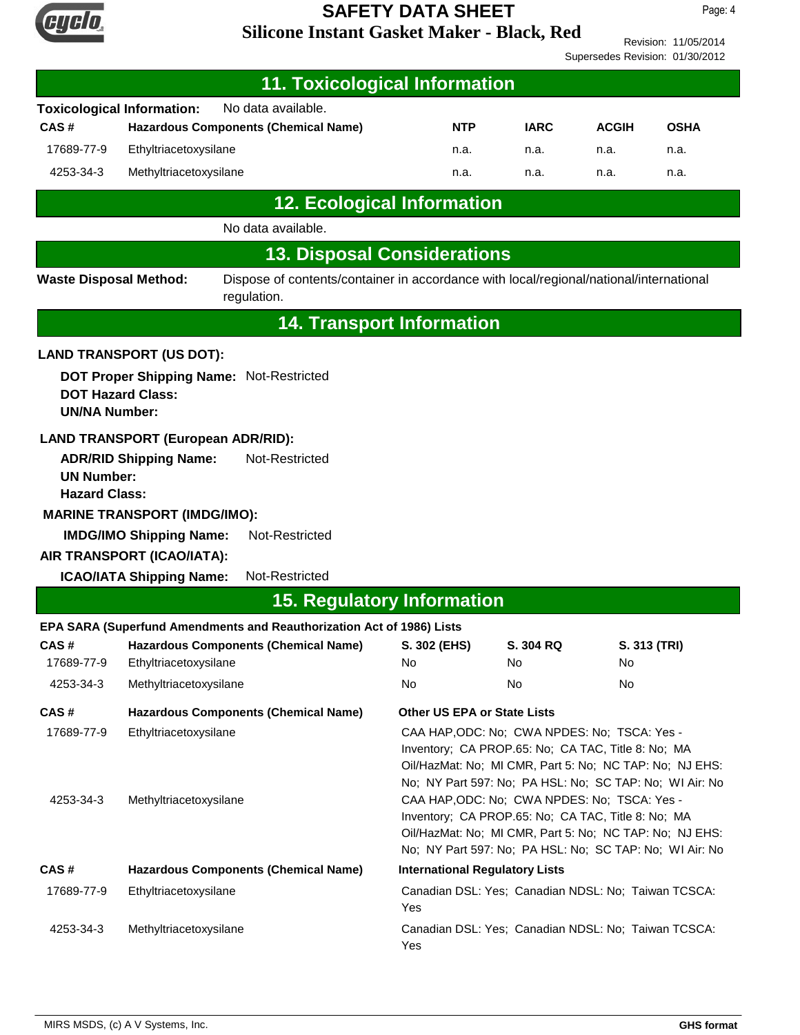

Revision: 11/05/2014 Supersedes Revision: 01/30/2012

| <b>11. Toxicological Information</b>                                                                                                   |                                                 |                                                                       |                                                                                                                                                                                                                                                                |              |             |              |
|----------------------------------------------------------------------------------------------------------------------------------------|-------------------------------------------------|-----------------------------------------------------------------------|----------------------------------------------------------------------------------------------------------------------------------------------------------------------------------------------------------------------------------------------------------------|--------------|-------------|--------------|
|                                                                                                                                        | <b>Toxicological Information:</b>               | No data available.                                                    |                                                                                                                                                                                                                                                                |              |             |              |
| CAS#<br><b>Hazardous Components (Chemical Name)</b>                                                                                    |                                                 | <b>NTP</b>                                                            | <b>IARC</b>                                                                                                                                                                                                                                                    | <b>ACGIH</b> | <b>OSHA</b> |              |
| 17689-77-9                                                                                                                             | Ethyltriacetoxysilane                           |                                                                       | n.a.                                                                                                                                                                                                                                                           | n.a.         | n.a.        | n.a.         |
| 4253-34-3                                                                                                                              | Methyltriacetoxysilane                          |                                                                       | n.a.                                                                                                                                                                                                                                                           | n.a.         | n.a.        | n.a.         |
|                                                                                                                                        |                                                 | <b>12. Ecological Information</b>                                     |                                                                                                                                                                                                                                                                |              |             |              |
|                                                                                                                                        |                                                 | No data available.                                                    |                                                                                                                                                                                                                                                                |              |             |              |
|                                                                                                                                        |                                                 | <b>13. Disposal Considerations</b>                                    |                                                                                                                                                                                                                                                                |              |             |              |
| Dispose of contents/container in accordance with local/regional/national/international<br><b>Waste Disposal Method:</b><br>regulation. |                                                 |                                                                       |                                                                                                                                                                                                                                                                |              |             |              |
|                                                                                                                                        |                                                 |                                                                       | <b>14. Transport Information</b>                                                                                                                                                                                                                               |              |             |              |
|                                                                                                                                        | <b>LAND TRANSPORT (US DOT):</b>                 |                                                                       |                                                                                                                                                                                                                                                                |              |             |              |
| <b>UN/NA Number:</b>                                                                                                                   | <b>DOT Hazard Class:</b>                        | DOT Proper Shipping Name: Not-Restricted                              |                                                                                                                                                                                                                                                                |              |             |              |
|                                                                                                                                        |                                                 | <b>LAND TRANSPORT (European ADR/RID):</b>                             |                                                                                                                                                                                                                                                                |              |             |              |
| <b>UN Number:</b><br><b>Hazard Class:</b>                                                                                              | <b>ADR/RID Shipping Name:</b>                   | Not-Restricted                                                        |                                                                                                                                                                                                                                                                |              |             |              |
|                                                                                                                                        | <b>MARINE TRANSPORT (IMDG/IMO):</b>             |                                                                       |                                                                                                                                                                                                                                                                |              |             |              |
|                                                                                                                                        | <b>IMDG/IMO Shipping Name:</b>                  | Not-Restricted                                                        |                                                                                                                                                                                                                                                                |              |             |              |
| AIR TRANSPORT (ICAO/IATA):                                                                                                             |                                                 |                                                                       |                                                                                                                                                                                                                                                                |              |             |              |
|                                                                                                                                        | <b>ICAO/IATA Shipping Name:</b>                 | Not-Restricted                                                        |                                                                                                                                                                                                                                                                |              |             |              |
|                                                                                                                                        |                                                 | <b>15. Regulatory Information</b>                                     |                                                                                                                                                                                                                                                                |              |             |              |
|                                                                                                                                        |                                                 | EPA SARA (Superfund Amendments and Reauthorization Act of 1986) Lists |                                                                                                                                                                                                                                                                |              |             |              |
| CAS#                                                                                                                                   |                                                 | <b>Hazardous Components (Chemical Name)</b>                           | S. 302 (EHS)                                                                                                                                                                                                                                                   | S. 304 RQ    |             | S. 313 (TRI) |
| 17689-77-9<br>4253-34-3                                                                                                                | Ethyltriacetoxysilane<br>Methyltriacetoxysilane |                                                                       | No<br>No.                                                                                                                                                                                                                                                      | No<br>No     | No<br>No    |              |
|                                                                                                                                        |                                                 |                                                                       |                                                                                                                                                                                                                                                                |              |             |              |
| CAS#<br>17689-77-9                                                                                                                     | Ethyltriacetoxysilane                           | <b>Hazardous Components (Chemical Name)</b>                           | <b>Other US EPA or State Lists</b><br>CAA HAP, ODC: No; CWA NPDES: No; TSCA: Yes -<br>Inventory; CA PROP.65: No; CA TAC, Title 8: No; MA<br>Oil/HazMat: No; MI CMR, Part 5: No; NC TAP: No; NJ EHS:<br>No; NY Part 597: No; PA HSL: No; SC TAP: No; WI Air: No |              |             |              |
| 4253-34-3                                                                                                                              | Methyltriacetoxysilane                          |                                                                       | CAA HAP, ODC: No; CWA NPDES: No; TSCA: Yes -<br>Inventory; CA PROP.65: No; CA TAC, Title 8: No; MA<br>Oil/HazMat: No; MI CMR, Part 5: No; NC TAP: No; NJ EHS:<br>No; NY Part 597: No; PA HSL: No; SC TAP: No; WI Air: No                                       |              |             |              |
| CAS#                                                                                                                                   | <b>Hazardous Components (Chemical Name)</b>     |                                                                       | <b>International Regulatory Lists</b>                                                                                                                                                                                                                          |              |             |              |
| 17689-77-9                                                                                                                             | Ethyltriacetoxysilane                           |                                                                       | Canadian DSL: Yes; Canadian NDSL: No; Taiwan TCSCA:<br>Yes                                                                                                                                                                                                     |              |             |              |
| 4253-34-3<br>Methyltriacetoxysilane                                                                                                    |                                                 | Canadian DSL: Yes; Canadian NDSL: No; Taiwan TCSCA:<br>Yes            |                                                                                                                                                                                                                                                                |              |             |              |